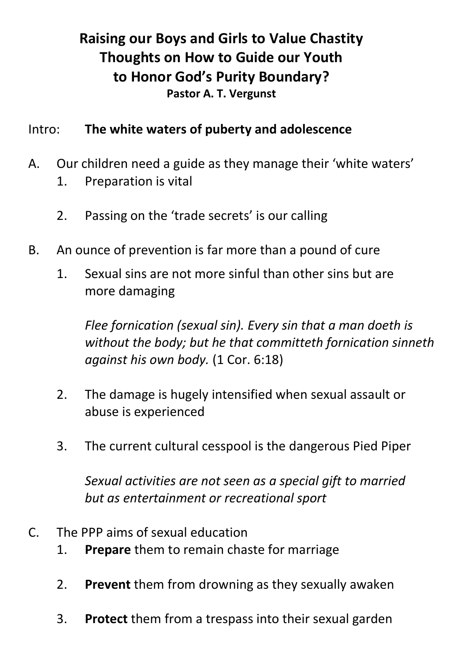# **Raising our Boys and Girls to Value Chastity Thoughts on How to Guide our Youth to Honor God's Purity Boundary? Pastor A. T. Vergunst**

#### Intro: **The white waters of puberty and adolescence**

- A. Our children need a guide as they manage their 'white waters'
	- 1. Preparation is vital
	- 2. Passing on the 'trade secrets' is our calling
- B. An ounce of prevention is far more than a pound of cure
	- 1. Sexual sins are not more sinful than other sins but are more damaging

*Flee fornication (sexual sin). Every sin that a man doeth is without the body; but he that committeth fornication sinneth against his own body.* (1 Cor. 6:18)

- 2. The damage is hugely intensified when sexual assault or abuse is experienced
- 3. The current cultural cesspool is the dangerous Pied Piper

*Sexual activities are not seen as a special gift to married but as entertainment or recreational sport* 

- C. The PPP aims of sexual education
	- 1. **Prepare** them to remain chaste for marriage
	- 2. **Prevent** them from drowning as they sexually awaken
	- 3. **Protect** them from a trespass into their sexual garden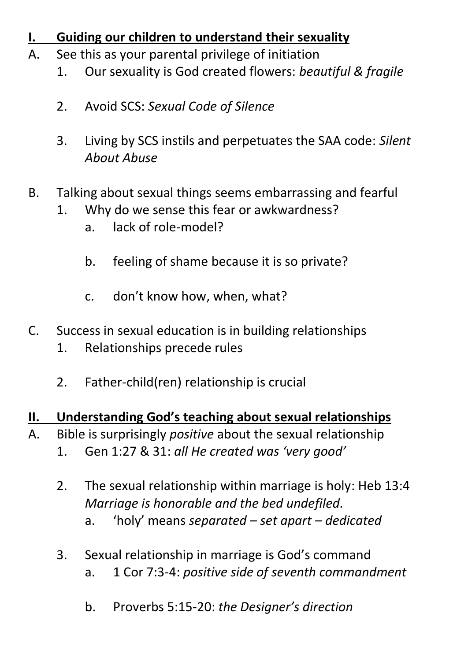## **Guiding our children to understand their sexuality**

- A. See this as your parental privilege of initiation
	- 1. Our sexuality is God created flowers: *beautiful & fragile*
	- 2. Avoid SCS: *Sexual Code of Silence*
	- 3. Living by SCS instils and perpetuates the SAA code: *Silent About Abuse*
- B. Talking about sexual things seems embarrassing and fearful
	- 1. Why do we sense this fear or awkwardness?
		- a. lack of role-model?
		- b. feeling of shame because it is so private?
		- c. don't know how, when, what?
- C. Success in sexual education is in building relationships
	- 1. Relationships precede rules
	- 2. Father-child(ren) relationship is crucial

### **II. Understanding God's teaching about sexual relationships**

- A. Bible is surprisingly *positive* about the sexual relationship
	- 1. Gen 1:27 & 31: *all He created was 'very good'*
	- 2. The sexual relationship within marriage is holy: Heb 13:4 *Marriage is honorable and the bed undefiled.*  a. 'holy' means *separated – set apart – dedicated*
	- 3. Sexual relationship in marriage is God's command a. 1 Cor 7:3-4: *positive side of seventh commandment* 
		- b. Proverbs 5:15-20: *the Designer's direction*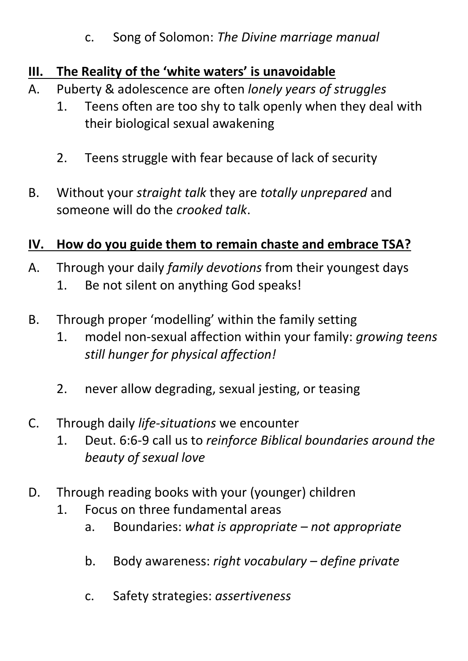#### c. Song of Solomon: *The Divine marriage manual*

## **III. The Reality of the 'white waters' is unavoidable**

- A. Puberty & adolescence are often *lonely years of struggles* 
	- 1. Teens often are too shy to talk openly when they deal with their biological sexual awakening
	- 2. Teens struggle with fear because of lack of security
- B. Without your *straight talk* they are *totally unprepared* and someone will do the *crooked talk*.

## **IV. How do you guide them to remain chaste and embrace TSA?**

- A. Through your daily *family devotions* from their youngest days 1. Be not silent on anything God speaks!
- B. Through proper 'modelling' within the family setting
	- 1. model non-sexual affection within your family: *growing teens still hunger for physical affection!*
	- 2. never allow degrading, sexual jesting, or teasing
- C. Through daily *life-situations* we encounter
	- 1. Deut. 6:6-9 call us to *reinforce Biblical boundaries around the beauty of sexual love*
- D. Through reading books with your (younger) children
	- 1. Focus on three fundamental areas
		- a. Boundaries: *what is appropriate – not appropriate*
		- b. Body awareness: *right vocabulary – define private*
		- c. Safety strategies: *assertiveness*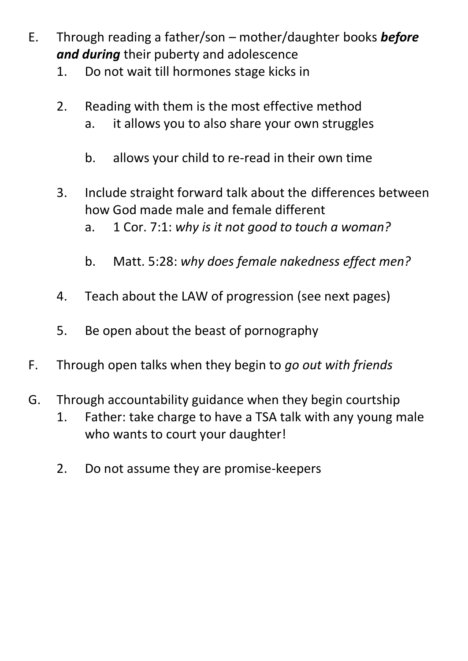- E. Through reading a father/son mother/daughter books *before and during* their puberty and adolescence
	- 1. Do not wait till hormones stage kicks in
	- 2. Reading with them is the most effective method a. it allows you to also share your own struggles
		- b. allows your child to re-read in their own time
	- 3. Include straight forward talk about the differences between how God made male and female different a. 1 Cor. 7:1: *why is it not good to touch a woman?*
		- b. Matt. 5:28: *why does female nakedness effect men?*
	- 4. Teach about the LAW of progression (see next pages)
	- 5. Be open about the beast of pornography
- F. Through open talks when they begin to *go out with friends*
- G. Through accountability guidance when they begin courtship
	- 1. Father: take charge to have a TSA talk with any young male who wants to court your daughter!
	- 2. Do not assume they are promise-keepers